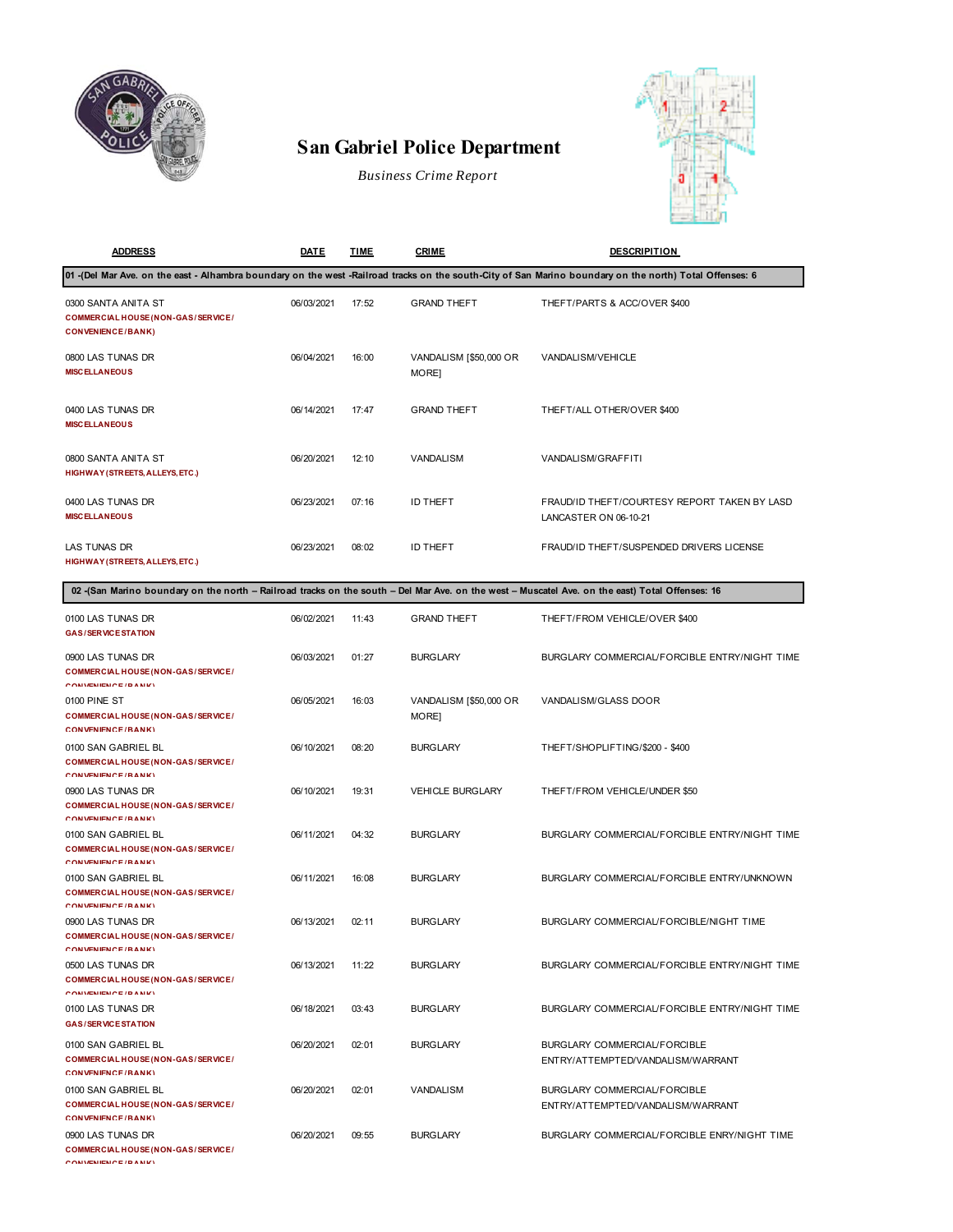

## **San Gabriel Police Department**

*Business Crime Report*



| <b>ADDRESS</b>                                                                                                                                 | DATE       | <b>TIME</b> | <b>CRIME</b>                    | <b>DESCRIPITION</b>                                                                                                                                     |
|------------------------------------------------------------------------------------------------------------------------------------------------|------------|-------------|---------------------------------|---------------------------------------------------------------------------------------------------------------------------------------------------------|
|                                                                                                                                                |            |             |                                 | 01 -(Del Mar Ave. on the east - Alhambra boundary on the west -Railroad tracks on the south-City of San Marino boundary on the north) Total Offenses: 6 |
| 0300 SANTA ANITA ST<br>COMMERCIAL HOUSE (NON-GAS/SERVICE/<br><b>CONVENIENCE/BANK)</b>                                                          | 06/03/2021 | 17:52       | <b>GRAND THEFT</b>              | THEFT/PARTS & ACC/OVER \$400                                                                                                                            |
| 0800 LAS TUNAS DR<br><b>MISCELLANEOUS</b>                                                                                                      | 06/04/2021 | 16:00       | VANDALISM [\$50,000 OR<br>MORE] | VANDALISM/VEHICLE                                                                                                                                       |
| 0400 LAS TUNAS DR<br><b>MISCELLANEOUS</b>                                                                                                      | 06/14/2021 | 17:47       | <b>GRAND THEFT</b>              | THEFT/ALL OTHER/OVER \$400                                                                                                                              |
| 0800 SANTA ANITA ST<br>HIGHWAY (STREETS, ALLEYS, ETC.)                                                                                         | 06/20/2021 | 12:10       | VANDALISM                       | VANDALISM/GRAFFITI                                                                                                                                      |
| 0400 LAS TUNAS DR<br><b>MISCELLANEOUS</b>                                                                                                      | 06/23/2021 | 07:16       | ID THEFT                        | FRAUD/ID THEFT/COURTESY REPORT TAKEN BY LASD<br>LANCASTER ON 06-10-21                                                                                   |
| LAS TUNAS DR<br>HIGHWAY (STREETS, ALLEYS, ETC.)                                                                                                | 06/23/2021 | 08:02       | ID THEFT                        | FRAUD/ID THEFT/SUSPENDED DRIVERS LICENSE                                                                                                                |
| 02 (San Marino boundary on the north - Railroad tracks on the south - Del Mar Ave. on the west - Muscatel Ave. on the east) Total Offenses: 16 |            |             |                                 |                                                                                                                                                         |
| 0100 LAS TUNAS DR<br><b>GAS/SERVICE STATION</b>                                                                                                | 06/02/2021 | 11:43       | <b>GRAND THEFT</b>              | THEFT/FROM VEHICLE/OVER \$400                                                                                                                           |
| 0900 LAS TUNAS DR<br><b>COMMERCIAL HOUSE (NON-GAS/SERVICE/</b><br><b>CONVENIENCE / DANIZY</b>                                                  | 06/03/2021 | 01:27       | <b>BURGLARY</b>                 | BURGLARY COMMERCIAL/FORCIBLE ENTRY/NIGHT TIME                                                                                                           |
| 0100 PINE ST<br>COMMERCIAL HOUSE (NON-GAS/SERVICE/<br>CONVENIENCE/RANK)                                                                        | 06/05/2021 | 16:03       | VANDALISM [\$50,000 OR<br>MORE] | VANDALISM/GLASS DOOR                                                                                                                                    |
| 0100 SAN GABRIEL BL<br>COMMERCIAL HOUSE (NON-GAS/SERVICE/<br><b>CONVENIENCE (DANIE)</b>                                                        | 06/10/2021 | 08:20       | <b>BURGLARY</b>                 | THEFT/SHOPLIFTING/\$200 - \$400                                                                                                                         |
| 0900 LAS TUNAS DR<br>COMMERCIAL HOUSE (NON-GAS/SERVICE/<br><b>CONVENIENCE (DANIE)</b>                                                          | 06/10/2021 | 19:31       | <b>VEHICLE BURGLARY</b>         | THEFT/FROM VEHICLE/UNDER \$50                                                                                                                           |
| 0100 SAN GABRIEL BL<br>COMMERCIAL HOUSE (NON-GAS/SERVICE/<br><b>CONVENIENCE / DANIZY</b>                                                       | 06/11/2021 | 04:32       | <b>BURGLARY</b>                 | BURGLARY COMMERCIAL/FORCIBLE ENTRY/NIGHT TIME                                                                                                           |
| 0100 SAN GABRIEL BL<br>COMMERCIAL HOUSE (NON-GAS/SERVICE/<br><b>CONVENIENCE / DANIZY</b>                                                       | 06/11/2021 | 16:08       | <b>BURGLARY</b>                 | BURGLARY COMMERCIAL/FORCIBLE ENTRY/UNKNOWN                                                                                                              |
| 0900 LAS TUNAS DR<br>COMMERCIAL HOUSE (NON-GAS/SERVICE/<br><b>CONVIENIENCE (DANIE)</b>                                                         | 06/13/2021 | 02:11       | <b>BURGLARY</b>                 | BURGLARY COMMERCIAL/FORCIBLE/NIGHT TIME                                                                                                                 |
| 0500 LAS TUNAS DR<br>COMMERCIAL HOUSE (NON-GAS/SERVICE/<br><b>CONVENIENCE (DANIE)</b>                                                          | 06/13/2021 | 11:22       | <b>BURGLARY</b>                 | BURGLARY COMMERCIAL/FORCIBLE ENTRY/NIGHT TIME                                                                                                           |
| 0100 LAS TUNAS DR<br><b>GAS/SERVICE STATION</b>                                                                                                | 06/18/2021 | 03:43       | <b>BURGLARY</b>                 | BURGLARY COMMERCIAL/FORCIBLE ENTRY/NIGHT TIME                                                                                                           |
| 0100 SAN GABRIEL BL<br>COMMERCIAL HOUSE (NON-GAS/SERVICE/<br>CONVENIENCE/RANK)                                                                 | 06/20/2021 | 02:01       | <b>BURGLARY</b>                 | BURGLARY COMMERCIAL/FORCIBLE<br>ENTRY/ATTEMPTED/VANDALISM/WARRANT                                                                                       |
| 0100 SAN GABRIEL BL<br>COMMERCIAL HOUSE (NON-GAS/SERVICE/<br>CONVENIENCE/RANK)                                                                 | 06/20/2021 | 02:01       | VANDALISM                       | BURGLARY COMMERCIAL/FORCIBLE<br>ENTRY/ATTEMPTED/VANDALISM/WARRANT                                                                                       |
| 0900 LAS TUNAS DR<br>COMMERCIAL HOUSE (NON-GAS/SERVICE/<br><b>CONVENIENCE / DANIZY</b>                                                         | 06/20/2021 | 09:55       | <b>BURGLARY</b>                 | BURGLARY COMMERCIAL/FORCIBLE ENRY/NIGHT TIME                                                                                                            |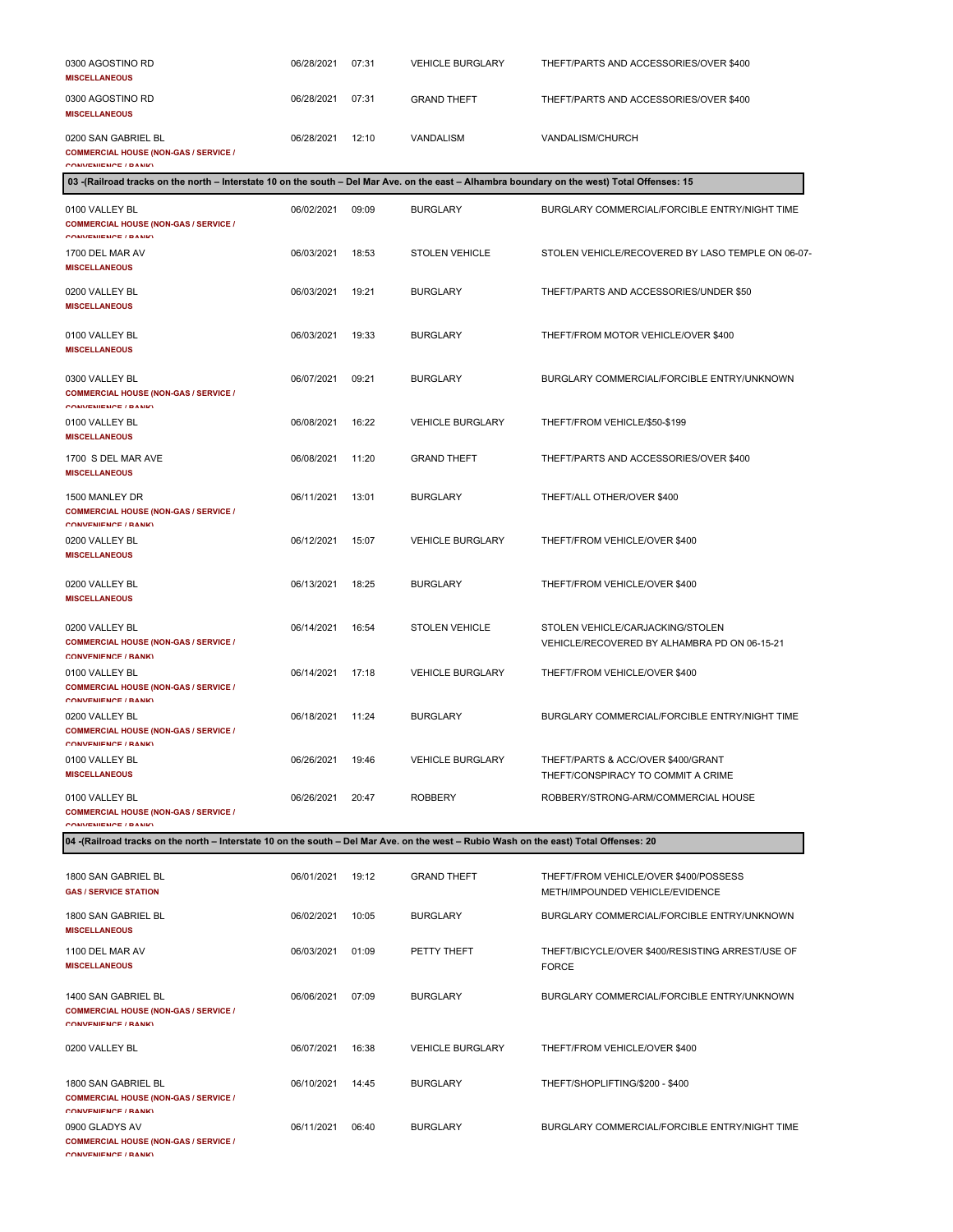| 0300 AGOSTINO RD<br><b>MISCELLANEOUS</b>                                                                                                      | 06/28/2021 | 07:31 | <b>VEHICLE BURGLARY</b> | THEFT/PARTS AND ACCESSORIES/OVER \$400                                           |
|-----------------------------------------------------------------------------------------------------------------------------------------------|------------|-------|-------------------------|----------------------------------------------------------------------------------|
| 0300 AGOSTINO RD<br><b>MISCELLANEOUS</b>                                                                                                      | 06/28/2021 | 07:31 | <b>GRAND THEFT</b>      | THEFT/PARTS AND ACCESSORIES/OVER \$400                                           |
| 0200 SAN GABRIEL BL<br><b>COMMERCIAL HOUSE (NON-GAS / SERVICE /</b><br>COMMEMIEMOE / DAMIO                                                    | 06/28/2021 | 12:10 | <b>VANDALISM</b>        | VANDALISM/CHURCH                                                                 |
| 03 -(Railroad tracks on the north - Interstate 10 on the south - Del Mar Ave. on the east - Alhambra boundary on the west) Total Offenses: 15 |            |       |                         |                                                                                  |
| 0100 VALLEY BL<br><b>COMMERCIAL HOUSE (NON-GAS / SERVICE /</b><br>CONVENIENCE / DANIEY                                                        | 06/02/2021 | 09:09 | <b>BURGLARY</b>         | BURGLARY COMMERCIAL/FORCIBLE ENTRY/NIGHT TIME                                    |
| 1700 DEL MAR AV<br><b>MISCELLANEOUS</b>                                                                                                       | 06/03/2021 | 18:53 | <b>STOLEN VEHICLE</b>   | STOLEN VEHICLE/RECOVERED BY LASO TEMPLE ON 06-07-                                |
| 0200 VALLEY BL<br><b>MISCELLANEOUS</b>                                                                                                        | 06/03/2021 | 19:21 | <b>BURGLARY</b>         | THEFT/PARTS AND ACCESSORIES/UNDER \$50                                           |
| 0100 VALLEY BL<br><b>MISCELLANEOUS</b>                                                                                                        | 06/03/2021 | 19:33 | <b>BURGLARY</b>         | THEFT/FROM MOTOR VEHICLE/OVER \$400                                              |
| 0300 VALLEY BL<br><b>COMMERCIAL HOUSE (NON-GAS / SERVICE /</b><br>CONVENIENCE (DANIA)                                                         | 06/07/2021 | 09:21 | <b>BURGLARY</b>         | BURGLARY COMMERCIAL/FORCIBLE ENTRY/UNKNOWN                                       |
| 0100 VALLEY BL<br><b>MISCELLANEOUS</b>                                                                                                        | 06/08/2021 | 16:22 | <b>VEHICLE BURGLARY</b> | THEFT/FROM VEHICLE/\$50-\$199                                                    |
| 1700 S DEL MAR AVE<br><b>MISCELLANEOUS</b>                                                                                                    | 06/08/2021 | 11:20 | <b>GRAND THEFT</b>      | THEFT/PARTS AND ACCESSORIES/OVER \$400                                           |
| 1500 MANLEY DR<br><b>COMMERCIAL HOUSE (NON-GAS / SERVICE /</b><br><b>COMMEMIEMOE / DAMIN</b>                                                  | 06/11/2021 | 13:01 | <b>BURGLARY</b>         | THEFT/ALL OTHER/OVER \$400                                                       |
| 0200 VALLEY BL<br><b>MISCELLANEOUS</b>                                                                                                        | 06/12/2021 | 15:07 | <b>VEHICLE BURGLARY</b> | THEFT/FROM VEHICLE/OVER \$400                                                    |
| 0200 VALLEY BL<br><b>MISCELLANEOUS</b>                                                                                                        | 06/13/2021 | 18:25 | <b>BURGLARY</b>         | THEFT/FROM VEHICLE/OVER \$400                                                    |
| 0200 VALLEY BL<br><b>COMMERCIAL HOUSE (NON-GAS / SERVICE /</b><br>CONVENIENCE / RANK)                                                         | 06/14/2021 | 16:54 | <b>STOLEN VEHICLE</b>   | STOLEN VEHICLE/CARJACKING/STOLEN<br>VEHICLE/RECOVERED BY ALHAMBRA PD ON 06-15-21 |
| 0100 VALLEY BL<br><b>COMMERCIAL HOUSE (NON-GAS / SERVICE /</b><br>COMMEMIEMOE / DAMIZY                                                        | 06/14/2021 | 17:18 | <b>VEHICLE BURGLARY</b> | THEFT/FROM VEHICLE/OVER \$400                                                    |
| 0200 VALLEY BL<br><b>COMMERCIAL HOUSE (NON-GAS / SERVICE /</b><br>COMMEMIEMOE / DAMIZY                                                        | 06/18/2021 | 11:24 | <b>BURGLARY</b>         | BURGLARY COMMERCIAL/FORCIBLE ENTRY/NIGHT TIME                                    |
| 0100 VALLEY BL<br><b>MISCELLANEOUS</b>                                                                                                        | 06/26/2021 | 19:46 | <b>VEHICLE BURGLARY</b> | THEFT/PARTS & ACC/OVER \$400/GRANT<br>THEFT/CONSPIRACY TO COMMIT A CRIME         |
| 0100 VALLEY BL<br><b>COMMERCIAL HOUSE (NON-GAS / SERVICE /</b><br>COMMEMIEMOE / DAMIO                                                         | 06/26/2021 | 20:47 | <b>ROBBERY</b>          | ROBBERY/STRONG-ARM/COMMERCIAL HOUSE                                              |
| 04 -(Railroad tracks on the north - Interstate 10 on the south - Del Mar Ave. on the west - Rubio Wash on the east) Total Offenses: 20        |            |       |                         |                                                                                  |
| 1800 SAN GABRIEL BL<br><b>GAS / SERVICE STATION</b>                                                                                           | 06/01/2021 | 19:12 | <b>GRAND THEFT</b>      | THEFT/FROM VEHICLE/OVER \$400/POSSESS<br>METH/IMPOUNDED VEHICLE/EVIDENCE         |
| 1800 SAN GABRIEL BL<br><b>MISCELLANEOUS</b>                                                                                                   | 06/02/2021 | 10:05 | <b>BURGLARY</b>         | BURGLARY COMMERCIAL/FORCIBLE ENTRY/UNKNOWN                                       |
| 1100 DEL MAR AV<br><b>MISCELLANEOUS</b>                                                                                                       | 06/03/2021 | 01:09 | PETTY THEFT             | THEFT/BICYCLE/OVER \$400/RESISTING ARREST/USE OF<br><b>FORCE</b>                 |
| 1400 SAN GABRIEL BL<br><b>COMMERCIAL HOUSE (NON-GAS / SERVICE /</b><br>COMMEMIEMOE / DAMIO                                                    | 06/06/2021 | 07:09 | <b>BURGLARY</b>         | BURGLARY COMMERCIAL/FORCIBLE ENTRY/UNKNOWN                                       |
| 0200 VALLEY BL                                                                                                                                | 06/07/2021 | 16:38 | <b>VEHICLE BURGLARY</b> | THEFT/FROM VEHICLE/OVER \$400                                                    |
| 1800 SAN GABRIEL BL<br><b>COMMERCIAL HOUSE (NON-GAS / SERVICE /</b><br><b>COMMEMIEMOE / DAMIN'</b>                                            | 06/10/2021 | 14:45 | <b>BURGLARY</b>         | THEFT/SHOPLIFTING/\$200 - \$400                                                  |
| 0900 GLADYS AV<br><b>COMMERCIAL HOUSE (NON-GAS / SERVICE /</b>                                                                                | 06/11/2021 | 06:40 | <b>BURGLARY</b>         | BURGLARY COMMERCIAL/FORCIBLE ENTRY/NIGHT TIME                                    |

**CONVENIENCE / BANK)**